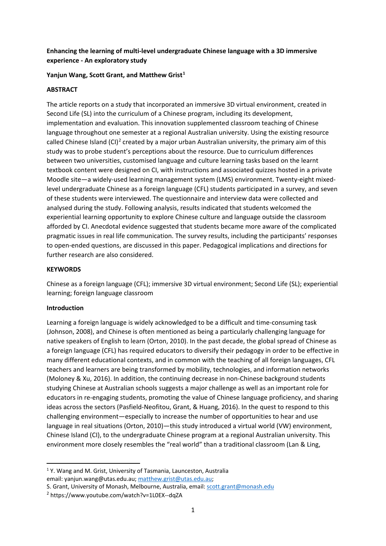## **Enhancing the learning of multi-level undergraduate Chinese language with a 3D immersive experience - An exploratory study**

### **Yanjun Wang, Scott Grant, and Matthew Grist[1](#page-0-0)**

### **ABSTRACT**

The article reports on a study that incorporated an immersive 3D virtual environment, created in Second Life (SL) into the curriculum of a Chinese program, including its development, implementation and evaluation. This innovation supplemented classroom teaching of Chinese language throughout one semester at a regional Australian university. Using the existing resource called Chinese Island  $(Cl)^2$  $(Cl)^2$  created by a major urban Australian university, the primary aim of this study was to probe student's perceptions about the resource. Due to curriculum differences between two universities, customised language and culture learning tasks based on the learnt textbook content were designed on CI, with instructions and associated quizzes hosted in a private Moodle site—a widely-used learning management system (LMS) environment. Twenty-eight mixedlevel undergraduate Chinese as a foreign language (CFL) students participated in a survey, and seven of these students were interviewed. The questionnaire and interview data were collected and analysed during the study. Following analysis, results indicated that students welcomed the experiential learning opportunity to explore Chinese culture and language outside the classroom afforded by CI. Anecdotal evidence suggested that students became more aware of the complicated pragmatic issues in real life communication. The survey results, including the participants' responses to open-ended questions, are discussed in this paper. Pedagogical implications and directions for further research are also considered.

### **KEYWORDS**

Chinese as a foreign language (CFL); immersive 3D virtual environment; Second Life (SL); experiential learning; foreign language classroom

### **Introduction**

Learning a foreign language is widely acknowledged to be a difficult and time-consuming task (Johnson, 2008), and Chinese is often mentioned as being a particularly challenging language for native speakers of English to learn (Orton, 2010). In the past decade, the global spread of Chinese as a foreign language (CFL) has required educators to diversify their pedagogy in order to be effective in many different educational contexts, and in common with the teaching of all foreign languages, CFL teachers and learners are being transformed by mobility, technologies, and information networks (Moloney & Xu, 2016). In addition, the continuing decrease in non-Chinese background students studying Chinese at Australian schools suggests a major challenge as well as an important role for educators in re-engaging students, promoting the value of Chinese language proficiency, and sharing ideas across the sectors (Pasfield-Neofitou, Grant, & Huang, 2016). In the quest to respond to this challenging environment—especially to increase the number of opportunities to hear and use language in real situations (Orton, 2010)—this study introduced a virtual world (VW) environment, Chinese Island (CI), to the undergraduate Chinese program at a regional Australian university. This environment more closely resembles the "real world" than a traditional classroom (Lan & Ling,

<span id="page-0-0"></span><sup>&</sup>lt;sup>1</sup> Y. Wang and M. Grist, University of Tasmania, Launceston, Australia email: yanjun.wang@utas.edu.au; [matthew.grist@utas.edu.au;](mailto:matthew.grist@utas.edu.au)

S. Grant, University of Monash, Melbourne, Australia, email: [scott.grant@monash.edu](mailto:scott.grant@monash.edu)

<span id="page-0-1"></span><sup>2</sup> https://www.youtube.com/watch?v=1L0EX--dqZA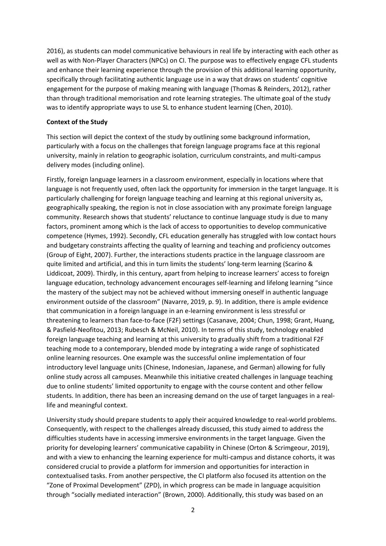2016), as students can model communicative behaviours in real life by interacting with each other as well as with Non-Player Characters (NPCs) on CI. The purpose was to effectively engage CFL students and enhance their learning experience through the provision of this additional learning opportunity, specifically through facilitating authentic language use in a way that draws on students' cognitive engagement for the purpose of making meaning with language (Thomas & Reinders, 2012), rather than through traditional memorisation and rote learning strategies. The ultimate goal of the study was to identify appropriate ways to use SL to enhance student learning (Chen, 2010).

#### **Context of the Study**

This section will depict the context of the study by outlining some background information, particularly with a focus on the challenges that foreign language programs face at this regional university, mainly in relation to geographic isolation, curriculum constraints, and multi-campus delivery modes (including online).

Firstly, foreign language learners in a classroom environment, especially in locations where that language is not frequently used, often lack the opportunity for immersion in the target language. It is particularly challenging for foreign language teaching and learning at this regional university as, geographically speaking, the region is not in close association with any proximate foreign language community. Research shows that students' reluctance to continue language study is due to many factors, prominent among which is the lack of access to opportunities to develop communicative competence (Hymes, 1992). Secondly, CFL education generally has struggled with low contact hours and budgetary constraints affecting the quality of learning and teaching and proficiency outcomes (Group of Eight, 2007). Further, the interactions students practice in the language classroom are quite limited and artificial, and this in turn limits the students' long-term learning (Scarino & Liddicoat, 2009). Thirdly, in this century, apart from helping to increase learners' access to foreign language education, technology advancement encourages self-learning and lifelong learning "since the mastery of the subject may not be achieved without immersing oneself in authentic language environment outside of the classroom" (Navarre, 2019, p. 9). In addition, there is ample evidence that communication in a foreign language in an e-learning environment is less stressful or threatening to learners than face-to-face (F2F) settings (Casanave, 2004; Chun, 1998; Grant, Huang, & Pasfield-Neofitou, 2013; Rubesch & McNeil, 2010). In terms of this study, technology enabled foreign language teaching and learning at this university to gradually shift from a traditional F2F teaching mode to a contemporary, blended mode by integrating a wide range of sophisticated online learning resources. One example was the successful online implementation of four introductory level language units (Chinese, Indonesian, Japanese, and German) allowing for fully online study across all campuses. Meanwhile this initiative created challenges in language teaching due to online students' limited opportunity to engage with the course content and other fellow students. In addition, there has been an increasing demand on the use of target languages in a reallife and meaningful context.

University study should prepare students to apply their acquired knowledge to real-world problems. Consequently, with respect to the challenges already discussed, this study aimed to address the difficulties students have in accessing immersive environments in the target language. Given the priority for developing learners' communicative capability in Chinese (Orton & Scrimgeour, 2019), and with a view to enhancing the learning experience for multi-campus and distance cohorts, it was considered crucial to provide a platform for immersion and opportunities for interaction in contextualised tasks. From another perspective, the CI platform also focused its attention on the "Zone of Proximal Development" (ZPD), in which progress can be made in language acquisition through "socially mediated interaction" (Brown, 2000). Additionally, this study was based on an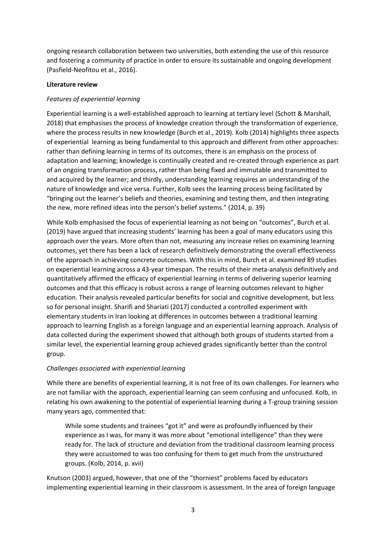ongoing research collaboration between two universities, both extending the use of this resource and fostering a community of practice in order to ensure its sustainable and ongoing development (Pasfield-Neofitou et al., 2016).

### **Literature review**

### *Features of experiential learning*

Experiential learning is a well-established approach to learning at tertiary level (Schott & Marshall, 2018) that emphasises the process of knowledge creation through the transformation of experience, where the process results in new knowledge (Burch et al., 2019). Kolb (2014) highlights three aspects of experiential learning as being fundamental to this approach and different from other approaches: rather than defining learning in terms of its outcomes, there is an emphasis on the process of adaptation and learning; knowledge is continually created and re-created through experience as part of an ongoing transformation process, rather than being fixed and immutable and transmitted to and acquired by the learner; and thirdly, understanding learning requires an understanding of the nature of knowledge and vice versa. Further, Kolb sees the learning process being facilitated by "bringing out the learner's beliefs and theories, examining and testing them, and then integrating the new, more refined ideas into the person's belief systems." (2014, p. 39)

While Kolb emphasised the focus of experiential learning as not being on "outcomes", Burch et al. (2019) have argued that increasing students' learning has been a goal of many educators using this approach over the years. More often than not, measuring any increase relies on examining learning outcomes, yet there has been a lack of research definitively demonstrating the overall effectiveness of the approach in achieving concrete outcomes. With this in mind, Burch et al. examined 89 studies on experiential learning across a 43-year timespan. The results of their meta-analysis definitively and quantitatively affirmed the efficacy of experiential learning in terms of delivering superior learning outcomes and that this efficacy is robust across a range of learning outcomes relevant to higher education. Their analysis revealed particular benefits for social and cognitive development, but less so for personal insight. Sharifi and Shariati (2017) conducted a controlled experiment with elementary students in Iran looking at differences in outcomes between a traditional learning approach to learning English as a foreign language and an experiential learning approach. Analysis of data collected during the experiment showed that although both groups of students started from a similar level, the experiential learning group achieved grades significantly better than the control group.

## *Challenges associated with experiential learning*

While there are benefits of experiential learning, it is not free of its own challenges. For learners who are not familiar with the approach, experiential learning can seem confusing and unfocused. Kolb, in relating his own awakening to the potential of experiential learning during a T-group training session many years ago, commented that:

While some students and trainees "got it" and were as profoundly influenced by their experience as I was, for many it was more about "emotional intelligence" than they were ready for. The lack of structure and deviation from the traditional classroom learning process they were accustomed to was too confusing for them to get much from the unstructured groups. (Kolb, 2014, p. xvii)

Knutson (2003) argued, however, that one of the "thorniest" problems faced by educators implementing experiential learning in their classroom is assessment. In the area of foreign language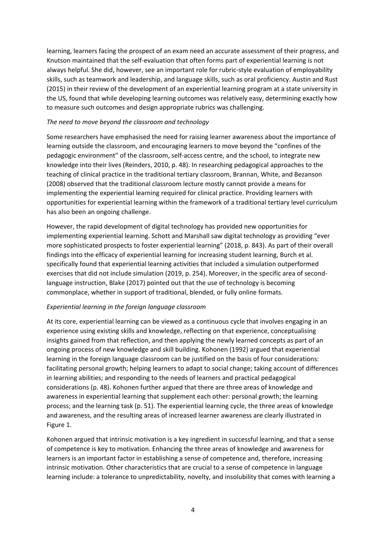learning, learners facing the prospect of an exam need an accurate assessment of their progress, and Knutson maintained that the self-evaluation that often forms part of experiential learning is not always helpful. She did, however, see an important role for rubric-style evaluation of employability skills, such as teamwork and leadership, and language skills, such as oral proficiency. Austin and Rust (2015) in their review of the development of an experiential learning program at a state university in the US, found that while developing learning outcomes was relatively easy, determining exactly how to measure such outcomes and design appropriate rubrics was challenging.

### *The need to move beyond the classroom and technology*

Some researchers have emphasised the need for raising learner awareness about the importance of learning outside the classroom, and encouraging learners to move beyond the "confines of the pedagogic environment" of the classroom, self-access centre, and the school, to integrate new knowledge into their lives (Reinders, 2010, p. 48). In researching pedagogical approaches to the teaching of clinical practice in the traditional tertiary classroom, Brannan, White, and Bezanson (2008) observed that the traditional classroom lecture mostly cannot provide a means for implementing the experiential learning required for clinical practice. Providing learners with opportunities for experiential learning within the framework of a traditional tertiary level curriculum has also been an ongoing challenge.

However, the rapid development of digital technology has provided new opportunities for implementing experiential learning. Schott and Marshall saw digital technology as providing "ever more sophisticated prospects to foster experiential learning" (2018, p. 843). As part of their overall findings into the efficacy of experiential learning for increasing student learning, Burch et al. specifically found that experiential learning activities that included a simulation outperformed exercises that did not include simulation (2019, p. 254). Moreover, in the specific area of secondlanguage instruction, Blake (2017) pointed out that the use of technology is becoming commonplace, whether in support of traditional, blended, or fully online formats.

## *Experiential learning in the foreign language classroom*

At its core, experiential learning can be viewed as a continuous cycle that involves engaging in an experience using existing skills and knowledge, reflecting on that experience, conceptualising insights gained from that reflection, and then applying the newly learned concepts as part of an ongoing process of new knowledge and skill building. Kohonen (1992) argued that experiential learning in the foreign language classroom can be justified on the basis of four considerations: facilitating personal growth; helping learners to adapt to social change; taking account of differences in learning abilities; and responding to the needs of learners and practical pedagogical considerations (p. 48). Kohonen further argued that there are three areas of knowledge and awareness in experiential learning that supplement each other: personal growth; the learning process; and the learning task (p. 51). The experiential learning cycle, the three areas of knowledge and awareness, and the resulting areas of increased learner awareness are clearly illustrated in Figure 1.

Kohonen argued that intrinsic motivation is a key ingredient in successful learning, and that a sense of competence is key to motivation. Enhancing the three areas of knowledge and awareness for learners is an important factor in establishing a sense of competence and, therefore, increasing intrinsic motivation. Other characteristics that are crucial to a sense of competence in language learning include: a tolerance to unpredictability, novelty, and insolubility that comes with learning a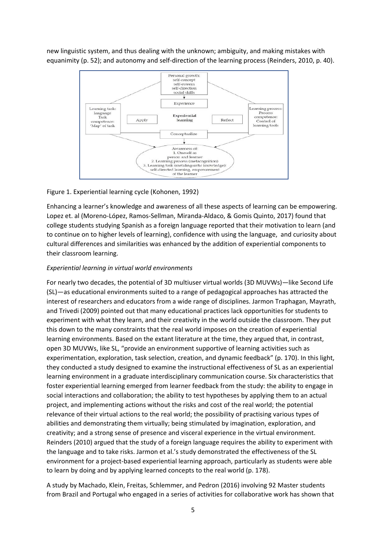new linguistic system, and thus dealing with the unknown; ambiguity, and making mistakes with equanimity (p. 52); and autonomy and self-direction of the learning process (Reinders, 2010, p. 40).



#### Figure 1. Experiential learning cycle (Kohonen, 1992)

Enhancing a learner's knowledge and awareness of all these aspects of learning can be empowering. Lopez et. al (Moreno-López, Ramos-Sellman, Miranda-Aldaco, & Gomis Quinto, 2017) found that college students studying Spanish as a foreign language reported that their motivation to learn (and to continue on to higher levels of learning), confidence with using the language, and curiosity about cultural differences and similarities was enhanced by the addition of experiential components to their classroom learning.

#### *Experiential learning in virtual world environments*

For nearly two decades, the potential of 3D multiuser virtual worlds (3D MUVWs)—like Second Life (SL)—as educational environments suited to a range of pedagogical approaches has attracted the interest of researchers and educators from a wide range of disciplines. Jarmon Traphagan, Mayrath, and Trivedi (2009) pointed out that many educational practices lack opportunities for students to experiment with what they learn, and their creativity in the world outside the classroom. They put this down to the many constraints that the real world imposes on the creation of experiential learning environments. Based on the extant literature at the time, they argued that, in contrast, open 3D MUVWs, like SL, "provide an environment supportive of learning activities such as experimentation, exploration, task selection, creation, and dynamic feedback" (p. 170). In this light, they conducted a study designed to examine the instructional effectiveness of SL as an experiential learning environment in a graduate interdisciplinary communication course. Six characteristics that foster experiential learning emerged from learner feedback from the study: the ability to engage in social interactions and collaboration; the ability to test hypotheses by applying them to an actual project, and implementing actions without the risks and cost of the real world; the potential relevance of their virtual actions to the real world; the possibility of practising various types of abilities and demonstrating them virtually; being stimulated by imagination, exploration, and creativity; and a strong sense of presence and visceral experience in the virtual environment. Reinders (2010) argued that the study of a foreign language requires the ability to experiment with the language and to take risks. Jarmon et al.'s study demonstrated the effectiveness of the SL environment for a project-based experiential learning approach, particularly as students were able to learn by doing and by applying learned concepts to the real world (p. 178).

A study by Machado, Klein, Freitas, Schlemmer, and Pedron (2016) involving 92 Master students from Brazil and Portugal who engaged in a series of activities for collaborative work has shown that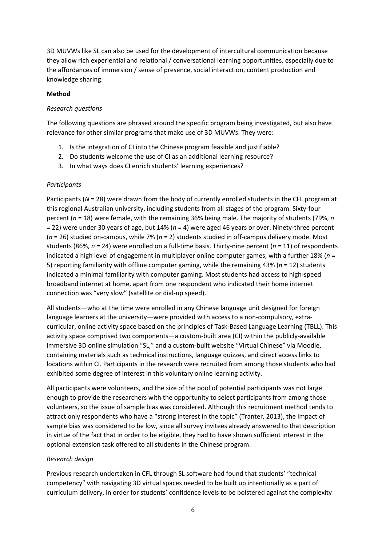3D MUVWs like SL can also be used for the development of intercultural communication because they allow rich experiential and relational / conversational learning opportunities, especially due to the affordances of immersion / sense of presence, social interaction, content production and knowledge sharing.

### **Method**

### *Research questions*

The following questions are phrased around the specific program being investigated, but also have relevance for other similar programs that make use of 3D MUVWs. They were:

- 1. Is the integration of CI into the Chinese program feasible and justifiable?
- 2. Do students welcome the use of CI as an additional learning resource?
- 3. In what ways does CI enrich students' learning experiences?

### *Participants*

Participants (*N* = 28) were drawn from the body of currently enrolled students in the CFL program at this regional Australian university, including students from all stages of the program. Sixty-four percent (*n* = 18) were female, with the remaining 36% being male. The majority of students (79%, *n* = 22) were under 30 years of age, but 14% (*n* = 4) were aged 46 years or over. Ninety-three percent (*n* = 26) studied on-campus, while 7% (*n* = 2) students studied in off-campus delivery mode. Most students (86%, *n* = 24) were enrolled on a full-time basis. Thirty-nine percent (*n* = 11) of respondents indicated a high level of engagement in multiplayer online computer games, with a further 18% (*n* = 5) reporting familiarity with offline computer gaming, while the remaining 43% (*n* = 12) students indicated a minimal familiarity with computer gaming. Most students had access to high-speed broadband internet at home, apart from one respondent who indicated their home internet connection was "very slow" (satellite or dial-up speed).

All students—who at the time were enrolled in any Chinese language unit designed for foreign language learners at the university—were provided with access to a non-compulsory, extracurricular, online activity space based on the principles of Task-Based Language Learning (TBLL). This activity space comprised two components—a custom-built area (CI) within the publicly-available immersive 3D online simulation "SL," and a custom-built website "Virtual Chinese" via Moodle, containing materials such as technical instructions, language quizzes, and direct access links to locations within CI. Participants in the research were recruited from among those students who had exhibited some degree of interest in this voluntary online learning activity.

All participants were volunteers, and the size of the pool of potential participants was not large enough to provide the researchers with the opportunity to select participants from among those volunteers, so the issue of sample bias was considered. Although this recruitment method tends to attract only respondents who have a "strong interest in the topic" (Tranter, 2013), the impact of sample bias was considered to be low, since all survey invitees already answered to that description in virtue of the fact that in order to be eligible, they had to have shown sufficient interest in the optional extension task offered to all students in the Chinese program.

## *Research design*

Previous research undertaken in CFL through SL software had found that students' "technical competency" with navigating 3D virtual spaces needed to be built up intentionally as a part of curriculum delivery, in order for students' confidence levels to be bolstered against the complexity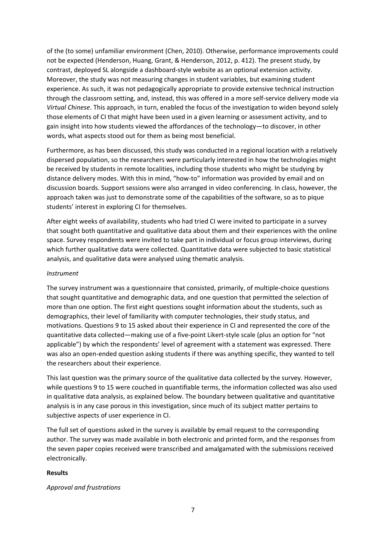of the (to some) unfamiliar environment (Chen, 2010). Otherwise, performance improvements could not be expected (Henderson, Huang, Grant, & Henderson, 2012, p. 412). The present study, by contrast, deployed SL alongside a dashboard-style website as an optional extension activity. Moreover, the study was not measuring changes in student variables, but examining student experience. As such, it was not pedagogically appropriate to provide extensive technical instruction through the classroom setting, and, instead, this was offered in a more self-service delivery mode via *Virtual Chinese*. This approach, in turn, enabled the focus of the investigation to widen beyond solely those elements of CI that might have been used in a given learning or assessment activity, and to gain insight into how students viewed the affordances of the technology—to discover, in other words, what aspects stood out for them as being most beneficial.

Furthermore, as has been discussed, this study was conducted in a regional location with a relatively dispersed population, so the researchers were particularly interested in how the technologies might be received by students in remote localities, including those students who might be studying by distance delivery modes. With this in mind, "how-to" information was provided by email and on discussion boards. Support sessions were also arranged in video conferencing. In class, however, the approach taken was just to demonstrate some of the capabilities of the software, so as to pique students' interest in exploring CI for themselves.

After eight weeks of availability, students who had tried CI were invited to participate in a survey that sought both quantitative and qualitative data about them and their experiences with the online space. Survey respondents were invited to take part in individual or focus group interviews, during which further qualitative data were collected. Quantitative data were subjected to basic statistical analysis, and qualitative data were analysed using thematic analysis.

#### *Instrument*

The survey instrument was a questionnaire that consisted, primarily, of multiple-choice questions that sought quantitative and demographic data, and one question that permitted the selection of more than one option. The first eight questions sought information about the students, such as demographics, their level of familiarity with computer technologies, their study status, and motivations. Questions 9 to 15 asked about their experience in CI and represented the core of the quantitative data collected—making use of a five-point Likert-style scale (plus an option for "not applicable") by which the respondents' level of agreement with a statement was expressed. There was also an open-ended question asking students if there was anything specific, they wanted to tell the researchers about their experience.

This last question was the primary source of the qualitative data collected by the survey. However, while questions 9 to 15 were couched in quantifiable terms, the information collected was also used in qualitative data analysis, as explained below. The boundary between qualitative and quantitative analysis is in any case porous in this investigation, since much of its subject matter pertains to subjective aspects of user experience in CI.

The full set of questions asked in the survey is available by email request to the corresponding author. The survey was made available in both electronic and printed form, and the responses from the seven paper copies received were transcribed and amalgamated with the submissions received electronically.

#### **Results**

### *Approval and frustrations*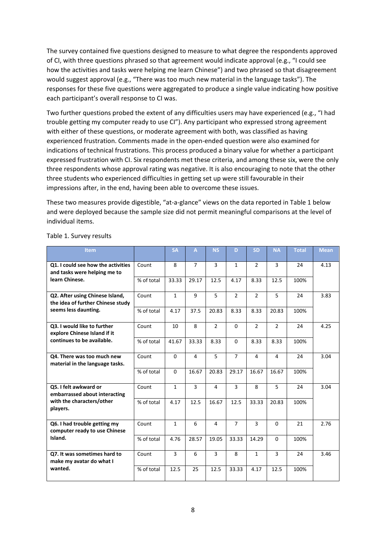The survey contained five questions designed to measure to what degree the respondents approved of CI, with three questions phrased so that agreement would indicate approval (e.g., "I could see how the activities and tasks were helping me learn Chinese") and two phrased so that disagreement would suggest approval (e.g., "There was too much new material in the language tasks"). The responses for these five questions were aggregated to produce a single value indicating how positive each participant's overall response to CI was.

Two further questions probed the extent of any difficulties users may have experienced (e.g., "I had trouble getting my computer ready to use CI"). Any participant who expressed strong agreement with either of these questions, or moderate agreement with both, was classified as having experienced frustration. Comments made in the open-ended question were also examined for indications of technical frustrations. This process produced a binary value for whether a participant expressed frustration with CI. Six respondents met these criteria, and among these six, were the only three respondents whose approval rating was negative. It is also encouraging to note that the other three students who experienced difficulties in getting set up were still favourable in their impressions after, in the end, having been able to overcome these issues.

These two measures provide digestible, "at-a-glance" views on the data reported in Table 1 below and were deployed because the sample size did not permit meaningful comparisons at the level of individual items.

| <b>Item</b>                                                                                     |            | <b>SA</b>    | A              | <b>NS</b>      | D              | <b>SD</b>      | <b>NA</b>      | <b>Total</b> | <b>Mean</b> |
|-------------------------------------------------------------------------------------------------|------------|--------------|----------------|----------------|----------------|----------------|----------------|--------------|-------------|
| Q1. I could see how the activities<br>and tasks were helping me to<br>learn Chinese.            | Count      | 8            | $\overline{7}$ | $\overline{3}$ | 1              | $\overline{2}$ | 3              | 24           | 4.13        |
|                                                                                                 | % of total | 33.33        | 29.17          | 12.5           | 4.17           | 8.33           | 12.5           | 100%         |             |
| Q2. After using Chinese Island,<br>the idea of further Chinese study<br>seems less daunting.    | Count      | $\mathbf{1}$ | 9              | 5              | $\overline{2}$ | $\overline{2}$ | 5              | 24           | 3.83        |
|                                                                                                 | % of total | 4.17         | 37.5           | 20.83          | 8.33           | 8.33           | 20.83          | 100%         |             |
| Q3. I would like to further<br>explore Chinese Island if it                                     | Count      | 10           | 8              | $\overline{2}$ | $\Omega$       | $\overline{2}$ | $\overline{2}$ | 24           | 4.25        |
| continues to be available.                                                                      | % of total | 41.67        | 33.33          | 8.33           | 0              | 8.33           | 8.33           | 100%         |             |
| Q4. There was too much new<br>material in the language tasks.                                   | Count      | $\Omega$     | 4              | 5              | $\overline{7}$ | 4              | 4              | 24           | 3.04        |
|                                                                                                 | % of total | $\Omega$     | 16.67          | 20.83          | 29.17          | 16.67          | 16.67          | 100%         |             |
| Q5. I felt awkward or<br>embarrassed about interacting<br>with the characters/other<br>players. | Count      | $\mathbf{1}$ | 3              | 4              | $\overline{3}$ | 8              | 5              | 24           | 3.04        |
|                                                                                                 | % of total | 4.17         | 12.5           | 16.67          | 12.5           | 33.33          | 20.83          | 100%         |             |
| Q6. I had trouble getting my<br>computer ready to use Chinese                                   | Count      | $\mathbf{1}$ | 6              | $\overline{4}$ | $\overline{7}$ | $\overline{3}$ | $\Omega$       | 21           | 2.76        |
| Island.                                                                                         | % of total | 4.76         | 28.57          | 19.05          | 33.33          | 14.29          | $\Omega$       | 100%         |             |
| Q7. It was sometimes hard to<br>make my avatar do what I<br>wanted.                             | Count      | 3            | 6              | 3              | 8              | $\mathbf{1}$   | 3              | 24           | 3.46        |
|                                                                                                 | % of total | 12.5         | 25             | 12.5           | 33.33          | 4.17           | 12.5           | 100%         |             |

Table 1. Survey results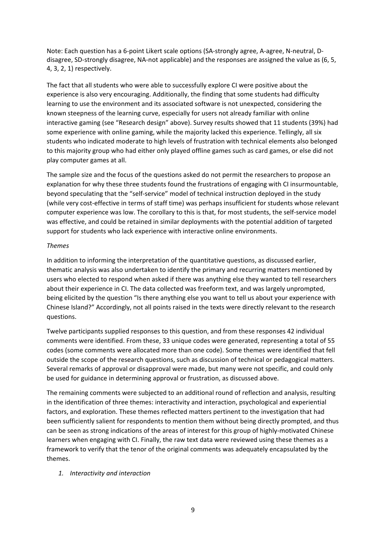Note: Each question has a 6-point Likert scale options (SA-strongly agree, A-agree, N-neutral, Ddisagree, SD-strongly disagree, NA-not applicable) and the responses are assigned the value as (6, 5, 4, 3, 2, 1) respectively.

The fact that all students who were able to successfully explore CI were positive about the experience is also very encouraging. Additionally, the finding that some students had difficulty learning to use the environment and its associated software is not unexpected, considering the known steepness of the learning curve, especially for users not already familiar with online interactive gaming (see "Research design" above). Survey results showed that 11 students (39%) had some experience with online gaming, while the majority lacked this experience. Tellingly, all six students who indicated moderate to high levels of frustration with technical elements also belonged to this majority group who had either only played offline games such as card games, or else did not play computer games at all.

The sample size and the focus of the questions asked do not permit the researchers to propose an explanation for why these three students found the frustrations of engaging with CI insurmountable, beyond speculating that the "self-service" model of technical instruction deployed in the study (while very cost-effective in terms of staff time) was perhaps insufficient for students whose relevant computer experience was low. The corollary to this is that, for most students, the self-service model was effective, and could be retained in similar deployments with the potential addition of targeted support for students who lack experience with interactive online environments.

### *Themes*

In addition to informing the interpretation of the quantitative questions, as discussed earlier, thematic analysis was also undertaken to identify the primary and recurring matters mentioned by users who elected to respond when asked if there was anything else they wanted to tell researchers about their experience in CI. The data collected was freeform text, and was largely unprompted, being elicited by the question "Is there anything else you want to tell us about your experience with Chinese Island?" Accordingly, not all points raised in the texts were directly relevant to the research questions.

Twelve participants supplied responses to this question, and from these responses 42 individual comments were identified. From these, 33 unique codes were generated, representing a total of 55 codes (some comments were allocated more than one code). Some themes were identified that fell outside the scope of the research questions, such as discussion of technical or pedagogical matters. Several remarks of approval or disapproval were made, but many were not specific, and could only be used for guidance in determining approval or frustration, as discussed above.

The remaining comments were subjected to an additional round of reflection and analysis, resulting in the identification of three themes: interactivity and interaction, psychological and experiential factors, and exploration. These themes reflected matters pertinent to the investigation that had been sufficiently salient for respondents to mention them without being directly prompted, and thus can be seen as strong indications of the areas of interest for this group of highly-motivated Chinese learners when engaging with CI. Finally, the raw text data were reviewed using these themes as a framework to verify that the tenor of the original comments was adequately encapsulated by the themes.

### *1. Interactivity and interaction*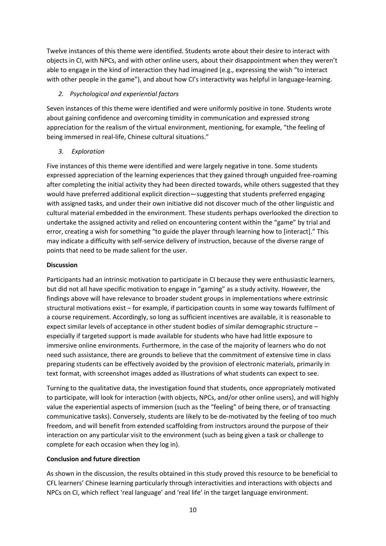Twelve instances of this theme were identified. Students wrote about their desire to interact with objects in CI, with NPCs, and with other online users, about their disappointment when they weren't able to engage in the kind of interaction they had imagined (e.g., expressing the wish "to interact with other people in the game"), and about how CI's interactivity was helpful in language-learning.

## *2. Psychological and experiential factors*

Seven instances of this theme were identified and were uniformly positive in tone. Students wrote about gaining confidence and overcoming timidity in communication and expressed strong appreciation for the realism of the virtual environment, mentioning, for example, "the feeling of being immersed in real-life, Chinese cultural situations."

# *3. Exploration*

Five instances of this theme were identified and were largely negative in tone. Some students expressed appreciation of the learning experiences that they gained through unguided free-roaming after completing the initial activity they had been directed towards, while others suggested that they would have preferred additional explicit direction—suggesting that students preferred engaging with assigned tasks, and under their own initiative did not discover much of the other linguistic and cultural material embedded in the environment. These students perhaps overlooked the direction to undertake the assigned activity and relied on encountering content within the "game" by trial and error, creating a wish for something "to guide the player through learning how to [interact]." This may indicate a difficulty with self-service delivery of instruction, because of the diverse range of points that need to be made salient for the user.

## **Discussion**

Participants had an intrinsic motivation to participate in CI because they were enthusiastic learners, but did not all have specific motivation to engage in "gaming" as a study activity. However, the findings above will have relevance to broader student groups in implementations where extrinsic structural motivations exist – for example, if participation counts in some way towards fulfilment of a course requirement. Accordingly, so long as sufficient incentives are available, it is reasonable to expect similar levels of acceptance in other student bodies of similar demographic structure – especially if targeted support is made available for students who have had little exposure to immersive online environments. Furthermore, in the case of the majority of learners who do not need such assistance, there are grounds to believe that the commitment of extensive time in class preparing students can be effectively avoided by the provision of electronic materials, primarily in text format, with screenshot images added as illustrations of what students can expect to see.

Turning to the qualitative data, the investigation found that students, once appropriately motivated to participate, will look for interaction (with objects, NPCs, and/or other online users), and will highly value the experiential aspects of immersion (such as the "feeling" of being there, or of transacting communicative tasks). Conversely, students are likely to be de-motivated by the feeling of too much freedom, and will benefit from extended scaffolding from instructors around the purpose of their interaction on any particular visit to the environment (such as being given a task or challenge to complete for each occasion when they log in).

## **Conclusion and future direction**

As shown in the discussion, the results obtained in this study proved this resource to be beneficial to CFL learners' Chinese learning particularly through interactivities and interactions with objects and NPCs on CI, which reflect 'real language' and 'real life' in the target language environment.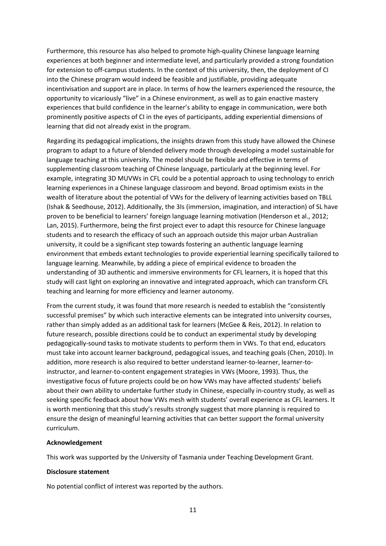Furthermore, this resource has also helped to promote high-quality Chinese language learning experiences at both beginner and intermediate level, and particularly provided a strong foundation for extension to off-campus students. In the context of this university, then, the deployment of CI into the Chinese program would indeed be feasible and justifiable, providing adequate incentivisation and support are in place. In terms of how the learners experienced the resource, the opportunity to vicariously "live" in a Chinese environment, as well as to gain enactive mastery experiences that build confidence in the learner's ability to engage in communication, were both prominently positive aspects of CI in the eyes of participants, adding experiential dimensions of learning that did not already exist in the program.

Regarding its pedagogical implications, the insights drawn from this study have allowed the Chinese program to adapt to a future of blended delivery mode through developing a model sustainable for language teaching at this university. The model should be flexible and effective in terms of supplementing classroom teaching of Chinese language, particularly at the beginning level. For example, integrating 3D MUVWs in CFL could be a potential approach to using technology to enrich learning experiences in a Chinese language classroom and beyond. Broad optimism exists in the wealth of literature about the potential of VWs for the delivery of learning activities based on TBLL (Ishak & Seedhouse, 2012). Additionally, the 3Is (immersion, imagination, and interaction) of SL have proven to be beneficial to learners' foreign language learning motivation (Henderson et al., 2012; Lan, 2015). Furthermore, being the first project ever to adapt this resource for Chinese language students and to research the efficacy of such an approach outside this major urban Australian university, it could be a significant step towards fostering an authentic language learning environment that embeds extant technologies to provide experiential learning specifically tailored to language learning. Meanwhile, by adding a piece of empirical evidence to broaden the understanding of 3D authentic and immersive environments for CFL learners, it is hoped that this study will cast light on exploring an innovative and integrated approach, which can transform CFL teaching and learning for more efficiency and learner autonomy.

From the current study, it was found that more research is needed to establish the "consistently successful premises" by which such interactive elements can be integrated into university courses, rather than simply added as an additional task for learners (McGee & Reis, 2012). In relation to future research, possible directions could be to conduct an experimental study by developing pedagogically-sound tasks to motivate students to perform them in VWs. To that end, educators must take into account learner background, pedagogical issues, and teaching goals (Chen, 2010). In addition, more research is also required to better understand learner-to-learner, learner-toinstructor, and learner-to-content engagement strategies in VWs (Moore, 1993). Thus, the investigative focus of future projects could be on how VWs may have affected students' beliefs about their own ability to undertake further study in Chinese, especially in-country study, as well as seeking specific feedback about how VWs mesh with students' overall experience as CFL learners. It is worth mentioning that this study's results strongly suggest that more planning is required to ensure the design of meaningful learning activities that can better support the formal university curriculum.

### **Acknowledgement**

This work was supported by the University of Tasmania under Teaching Development Grant.

### **Disclosure statement**

No potential conflict of interest was reported by the authors.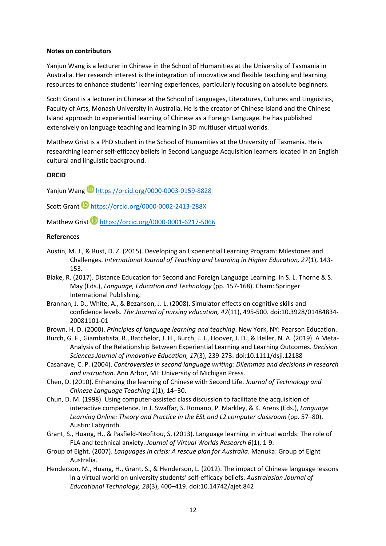#### **Notes on contributors**

Yanjun Wang is a lecturer in Chinese in the School of Humanities at the University of Tasmania in Australia. Her research interest is the integration of innovative and flexible teaching and learning resources to enhance students' learning experiences, particularly focusing on absolute beginners.

Scott Grant is a lecturer in Chinese at the School of Languages, Literatures, Cultures and Linguistics, Faculty of Arts, Monash University in Australia. He is the creator of Chinese Island and the Chinese Island approach to experiential learning of Chinese as a Foreign Language. He has published extensively on language teaching and learning in 3D multiuser virtual worlds.

Matthew Grist is a PhD student in the School of Humanities at the University of Tasmania. He is researching learner self-efficacy beliefs in Second Language Acquisition learners located in an English cultural and linguistic background.

### **ORCID**

Yanjun Wang **b** <https://orcid.org/0000-0003-0159-8828>

Scott Grant **[https://orcid.org/0000-0002-2413-288X](https://protect-au.mimecast.com/s/_2dhCP7yRptzM6wEUzRV5I?domain=orcid.org)** 

Matthew Grist <https://orcid.org/0000-0001-6217-5066>

### **References**

- Austin, M. J., & Rust, D. Z. (2015). Developing an Experiential Learning Program: Milestones and Challenges. *International Journal of Teaching and Learning in Higher Education, 27*(1), 143- 153.
- Blake, R. (2017). Distance Education for Second and Foreign Language Learning. In S. L. Thorne & S. May (Eds.), *Language, Education and Technology* (pp. 157-168). Cham: Springer International Publishing.
- Brannan, J. D., White, A., & Bezanson, J. L. (2008). Simulator effects on cognitive skills and confidence levels. *The Journal of nursing education, 47*(11), 495-500. doi:10.3928/01484834- 20081101-01
- Brown, H. D. (2000). *Principles of language learning and teaching*. New York, NY: Pearson Education.
- Burch, G. F., Giambatista, R., Batchelor, J. H., Burch, J. J., Hoover, J. D., & Heller, N. A. (2019). A Meta-Analysis of the Relationship Between Experiential Learning and Learning Outcomes. *Decision Sciences Journal of Innovative Education, 17*(3), 239-273. doi:10.1111/dsji.12188
- Casanave, C. P. (2004). *Controversies in second language writing: Dilemmas and decisions in research and instruction*. Ann Arbor, MI: University of Michigan Press.
- Chen, D. (2010). Enhancing the learning of Chinese with Second Life. *Journal of Technology and Chinese Language Teaching 1*(1), 14–30.
- Chun, D. M. (1998). Using computer-assisted class discussion to facilitate the acquisition of interactive competence. In J. Swaffar, S. Romano, P. Markley, & K. Arens (Eds.), *Language Learning Online: Theory and Practice in the ESL and L2 computer classroom* (pp. 57–80). Austin: Labyrinth.
- Grant, S., Huang, H., & Pasfield-Neofitou, S. (2013). Language learning in virtual worlds: The role of FLA and technical anxiety. *Journal of Virtual Worlds Research 6*(1), 1-9.
- Group of Eight. (2007). *Languages in crisis: A rescue plan for Australia*. Manuka: Group of Eight Australia.
- Henderson, M., Huang, H., Grant, S., & Henderson, L. (2012). The impact of Chinese language lessons in a virtual world on university students' self-efficacy beliefs. *Australasian Journal of Educational Technology, 28*(3), 400–419. doi:10.14742/ajet.842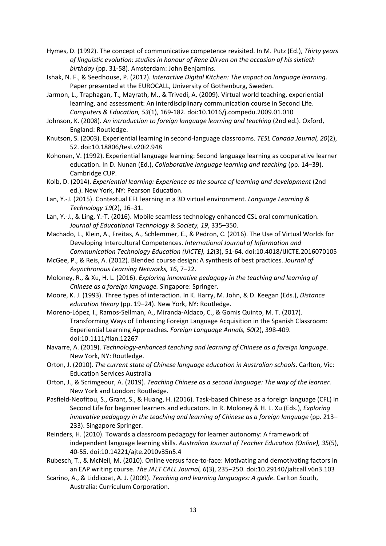- Hymes, D. (1992). The concept of communicative competence revisited. In M. Putz (Ed.), *Thirty years of linguistic evolution: studies in honour of Rene Dirven on the occasion of his sixtieth birthday* (pp. 31-58). Amsterdam: John Benjamins.
- Ishak, N. F., & Seedhouse, P. (2012). *Interactive Digital Kitchen: The impact on language learning*. Paper presented at the EUROCALL, University of Gothenburg, Sweden.
- Jarmon, L., Traphagan, T., Mayrath, M., & Trivedi, A. (2009). Virtual world teaching, experiential learning, and assessment: An interdisciplinary communication course in Second Life. *Computers & Education, 53*(1), 169-182. doi:10.1016/j.compedu.2009.01.010
- Johnson, K. (2008). *An introduction to foreign language learning and teaching* (2nd ed.). Oxford, England: Routledge.
- Knutson, S. (2003). Experiential learning in second-language classrooms. *TESL Canada Journal, 20*(2), 52. doi:10.18806/tesl.v20i2.948
- Kohonen, V. (1992). Experiential language learning: Second language learning as cooperative learner education. In D. Nunan (Ed.), *Collaborative language learning and teaching* (pp. 14–39). Cambridge CUP.
- Kolb, D. (2014). *Experiential learning: Experience as the source of learning and development* (2nd ed.). New York, NY: Pearson Education.
- Lan, Y.-J. (2015). Contextual EFL learning in a 3D virtual environment. *Language Learning & Technology 19*(2), 16–31.
- Lan, Y.-J., & Ling, Y.-T. (2016). Mobile seamless technology enhanced CSL oral communication. *Journal of Educational Technology & Society, 19*, 335–350.
- Machado, L., Klein, A., Freitas, A., Schlemmer, E., & Pedron, C. (2016). The Use of Virtual Worlds for Developing Intercultural Competences. *International Journal of Information and Communication Technology Education (IJICTE), 12*(3), 51-64. doi:10.4018/IJICTE.2016070105
- McGee, P., & Reis, A. (2012). Blended course design: A synthesis of best practices. *Journal of Asynchronous Learning Networks, 16*, 7–22.
- Moloney, R., & Xu, H. L. (2016). *Exploring innovative pedagogy in the teaching and learning of Chinese as a foreign language.* Singapore: Springer.
- Moore, K. J. (1993). Three types of interaction. In K. Harry, M. John, & D. Keegan (Eds.), *Distance education theory* (pp. 19–24). New York, NY: Routledge.
- Moreno-López, I., Ramos-Sellman, A., Miranda-Aldaco, C., & Gomis Quinto, M. T. (2017). Transforming Ways of Enhancing Foreign Language Acquisition in the Spanish Classroom: Experiential Learning Approaches. *Foreign Language Annals, 50*(2), 398-409. doi:10.1111/flan.12267
- Navarre, A. (2019). *Technology-enhanced teaching and learning of Chinese as a foreign language*. New York, NY: Routledge.
- Orton, J. (2010). *The current state of Chinese language education in Australian schools*. Carlton, Vic: Education Services Australia
- Orton, J., & Scrimgeour, A. (2019). *Teaching Chinese as a second language: The way of the learner*. New York and London: Routledge.
- Pasfield-Neofitou, S., Grant, S., & Huang, H. (2016). Task-based Chinese as a foreign language (CFL) in Second Life for beginner learners and educators. In R. Moloney & H. L. Xu (Eds.), *Exploring innovative pedagogy in the teaching and learning of Chinese as a foreign language* (pp. 213– 233). Singapore Springer.
- Reinders, H. (2010). Towards a classroom pedagogy for learner autonomy: A framework of independent language learning skills. *Australian Journal of Teacher Education (Online), 35*(5), 40-55. doi:10.14221/ajte.2010v35n5.4
- Rubesch, T., & McNeil, M. (2010). Online versus face-to-face: Motivating and demotivating factors in an EAP writing course. *The JALT CALL Journal, 6*(3), 235–250. doi:10.29140/jaltcall.v6n3.103
- Scarino, A., & Liddicoat, A. J. (2009). *Teaching and learning languages: A guide*. Carlton South, Australia: Curriculum Corporation.